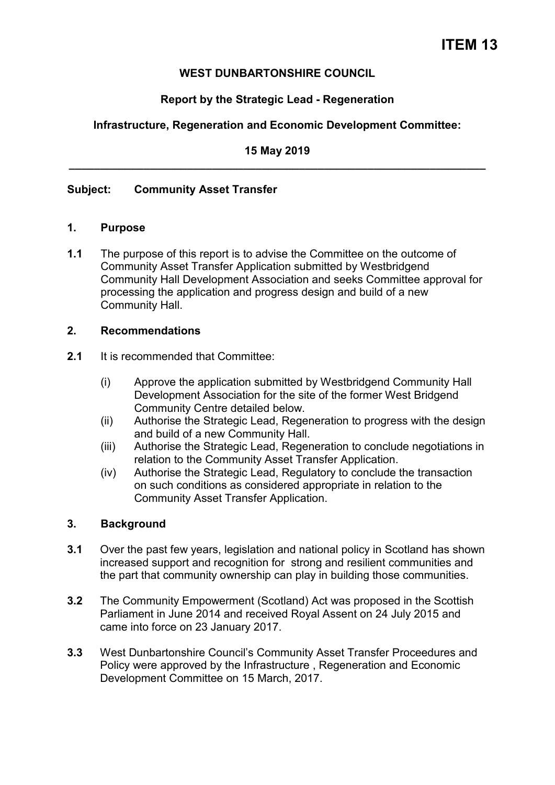### **WEST DUNBARTONSHIRE COUNCIL**

## **Report by the Strategic Lead - Regeneration**

## **Infrastructure, Regeneration and Economic Development Committee:**

**15 May 2019 \_\_\_\_\_\_\_\_\_\_\_\_\_\_\_\_\_\_\_\_\_\_\_\_\_\_\_\_\_\_\_\_\_\_\_\_\_\_\_\_\_\_\_\_\_\_\_\_\_\_\_\_\_\_\_\_\_\_\_\_\_\_\_\_\_\_\_** 

### **Subject: Community Asset Transfer**

#### **1. Purpose**

**1.1** The purpose of this report is to advise the Committee on the outcome of Community Asset Transfer Application submitted by Westbridgend Community Hall Development Association and seeks Committee approval for processing the application and progress design and build of a new Community Hall.

#### **2. Recommendations**

- **2.1** It is recommended that Committee:
	- (i) Approve the application submitted by Westbridgend Community Hall Development Association for the site of the former West Bridgend Community Centre detailed below.
	- (ii) Authorise the Strategic Lead, Regeneration to progress with the design and build of a new Community Hall.
	- (iii) Authorise the Strategic Lead, Regeneration to conclude negotiations in relation to the Community Asset Transfer Application.
	- (iv) Authorise the Strategic Lead, Regulatory to conclude the transaction on such conditions as considered appropriate in relation to the Community Asset Transfer Application.

### **3. Background**

- **3.1** Over the past few years, legislation and national policy in Scotland has shown increased support and recognition for strong and resilient communities and the part that community ownership can play in building those communities.
- **3.2** The Community Empowerment (Scotland) Act was proposed in the Scottish Parliament in June 2014 and received Royal Assent on 24 July 2015 and came into force on 23 January 2017.
- **3.3** West Dunbartonshire Council's Community Asset Transfer Proceedures and Policy were approved by the Infrastructure , Regeneration and Economic Development Committee on 15 March, 2017.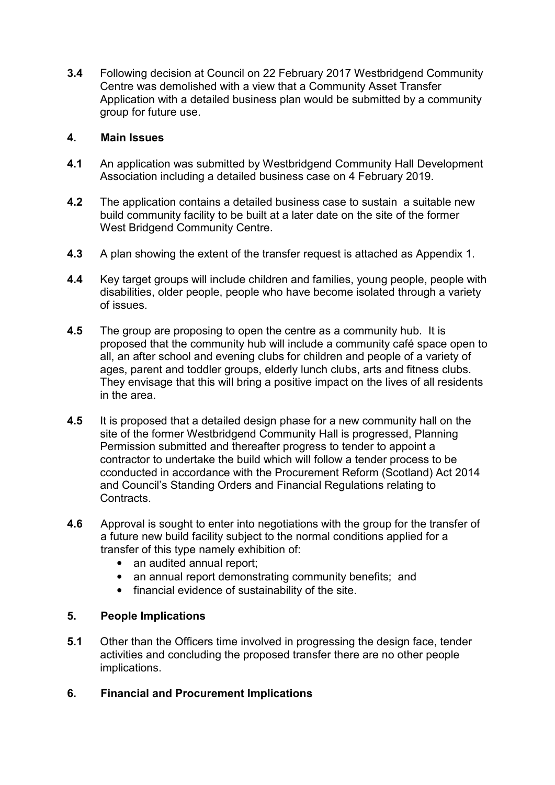**3.4** Following decision at Council on 22 February 2017 Westbridgend Community Centre was demolished with a view that a Community Asset Transfer Application with a detailed business plan would be submitted by a community group for future use.

## **4. Main Issues**

- **4.1** An application was submitted by Westbridgend Community Hall Development Association including a detailed business case on 4 February 2019.
- **4.2** The application contains a detailed business case to sustain a suitable new build community facility to be built at a later date on the site of the former West Bridgend Community Centre.
- **4.3** A plan showing the extent of the transfer request is attached as Appendix 1.
- **4.4** Key target groups will include children and families, young people, people with disabilities, older people, people who have become isolated through a variety of issues.
- **4.5** The group are proposing to open the centre as a community hub. It is proposed that the community hub will include a community café space open to all, an after school and evening clubs for children and people of a variety of ages, parent and toddler groups, elderly lunch clubs, arts and fitness clubs. They envisage that this will bring a positive impact on the lives of all residents in the area.
- **4.5** It is proposed that a detailed design phase for a new community hall on the site of the former Westbridgend Community Hall is progressed, Planning Permission submitted and thereafter progress to tender to appoint a contractor to undertake the build which will follow a tender process to be cconducted in accordance with the Procurement Reform (Scotland) Act 2014 and Council's Standing Orders and Financial Regulations relating to Contracts.
- **4.6** Approval is sought to enter into negotiations with the group for the transfer of a future new build facility subject to the normal conditions applied for a transfer of this type namely exhibition of:
	- an audited annual report:
	- an annual report demonstrating community benefits; and
	- financial evidence of sustainability of the site.

### **5. People Implications**

- **5.1** Other than the Officers time involved in progressing the design face, tender activities and concluding the proposed transfer there are no other people implications.
- **6. Financial and Procurement Implications**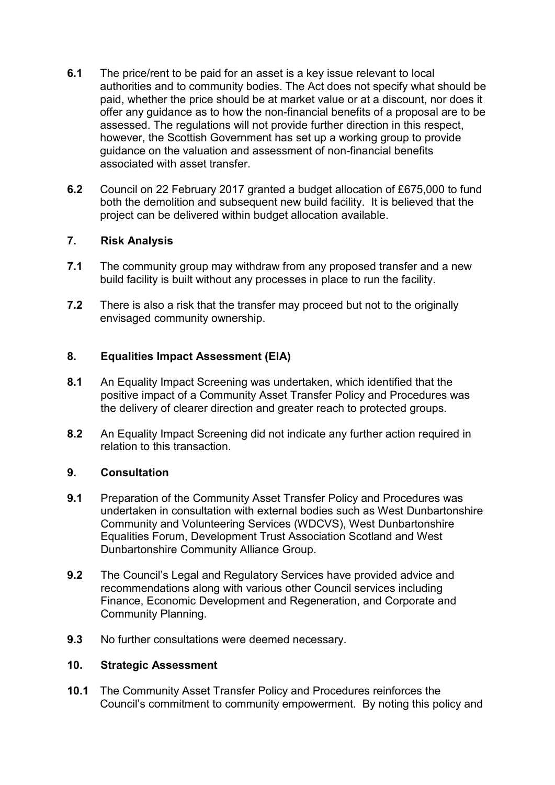- **6.1** The price/rent to be paid for an asset is a key issue relevant to local authorities and to community bodies. The Act does not specify what should be paid, whether the price should be at market value or at a discount, nor does it offer any guidance as to how the non-financial benefits of a proposal are to be assessed. The regulations will not provide further direction in this respect, however, the Scottish Government has set up a working group to provide guidance on the valuation and assessment of non-financial benefits associated with asset transfer.
- **6.2** Council on 22 February 2017 granted a budget allocation of £675,000 to fund both the demolition and subsequent new build facility. It is believed that the project can be delivered within budget allocation available.

# **7. Risk Analysis**

- **7.1** The community group may withdraw from any proposed transfer and a new build facility is built without any processes in place to run the facility.
- **7.2** There is also a risk that the transfer may proceed but not to the originally envisaged community ownership.

### **8. Equalities Impact Assessment (EIA)**

- **8.1** An Equality Impact Screening was undertaken, which identified that the positive impact of a Community Asset Transfer Policy and Procedures was the delivery of clearer direction and greater reach to protected groups.
- **8.2** An Equality Impact Screening did not indicate any further action required in relation to this transaction.

### **9. Consultation**

- **9.1** Preparation of the Community Asset Transfer Policy and Procedures was undertaken in consultation with external bodies such as West Dunbartonshire Community and Volunteering Services (WDCVS), West Dunbartonshire Equalities Forum, Development Trust Association Scotland and West Dunbartonshire Community Alliance Group.
- **9.2** The Council's Legal and Regulatory Services have provided advice and recommendations along with various other Council services including Finance, Economic Development and Regeneration, and Corporate and Community Planning.
- **9.3** No further consultations were deemed necessary.

### **10. Strategic Assessment**

**10.1** The Community Asset Transfer Policy and Procedures reinforces the Council's commitment to community empowerment. By noting this policy and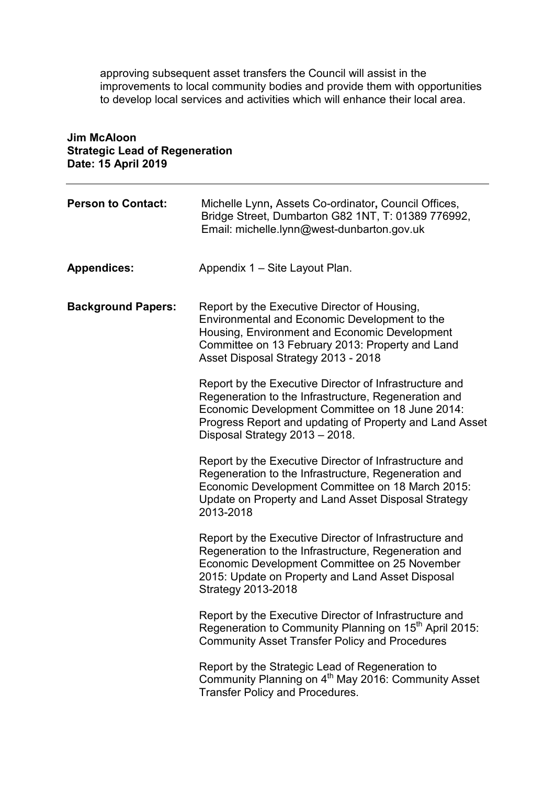approving subsequent asset transfers the Council will assist in the improvements to local community bodies and provide them with opportunities to develop local services and activities which will enhance their local area.

| Dale. To April 2019       |                                                                                                                                                                                                                                                                |
|---------------------------|----------------------------------------------------------------------------------------------------------------------------------------------------------------------------------------------------------------------------------------------------------------|
| <b>Person to Contact:</b> | Michelle Lynn, Assets Co-ordinator, Council Offices,<br>Bridge Street, Dumbarton G82 1NT, T: 01389 776992,<br>Email: michelle.lynn@west-dunbarton.gov.uk                                                                                                       |
| <b>Appendices:</b>        | Appendix 1 – Site Layout Plan.                                                                                                                                                                                                                                 |
| <b>Background Papers:</b> | Report by the Executive Director of Housing,<br>Environmental and Economic Development to the<br>Housing, Environment and Economic Development<br>Committee on 13 February 2013: Property and Land<br>Asset Disposal Strategy 2013 - 2018                      |
|                           | Report by the Executive Director of Infrastructure and<br>Regeneration to the Infrastructure, Regeneration and<br>Economic Development Committee on 18 June 2014:<br>Progress Report and updating of Property and Land Asset<br>Disposal Strategy 2013 - 2018. |
|                           | Report by the Executive Director of Infrastructure and<br>Regeneration to the Infrastructure, Regeneration and<br>Economic Development Committee on 18 March 2015:<br>Update on Property and Land Asset Disposal Strategy<br>2013-2018                         |
|                           | Report by the Executive Director of Infrastructure and<br>Regeneration to the Infrastructure, Regeneration and<br>Economic Development Committee on 25 November<br>2015: Update on Property and Land Asset Disposal<br><b>Strategy 2013-2018</b>               |
|                           | Report by the Executive Director of Infrastructure and<br>Regeneration to Community Planning on 15 <sup>th</sup> April 2015:<br><b>Community Asset Transfer Policy and Procedures</b>                                                                          |
|                           | Report by the Strategic Lead of Regeneration to<br>Community Planning on 4 <sup>th</sup> May 2016: Community Asset<br>Transfer Policy and Procedures.                                                                                                          |

### **Jim McAloon Strategic Lead of Regeneration Date: 15 April 2019**